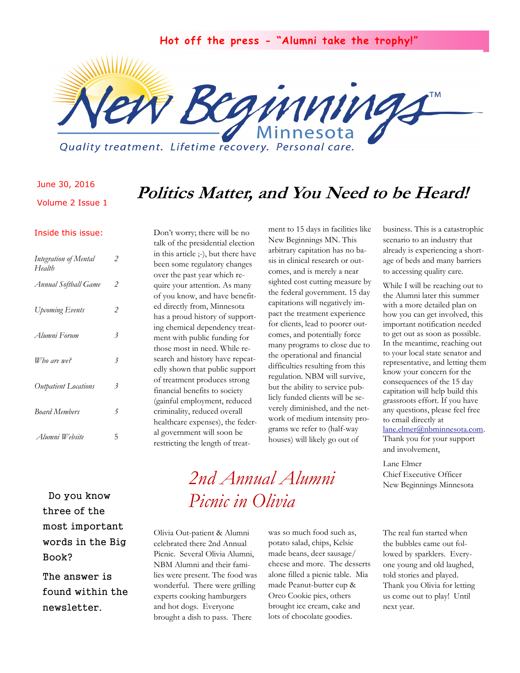**Hot off the press - "Alumni take the trophy!"**



Quality treatment. Lifetime recovery. Personal care.

#### June 30, 2016

Volume 2 Issue 1

### **Politics Matter, and You Need to be Heard!**

#### Inside this issue:

| Integration of Mental<br>Health | 2 |
|---------------------------------|---|
| Annual Softball Game            | 2 |
| <b>Upcoming Events</b>          | 2 |
| Alumni Forum                    | 3 |
| Who are we?                     | 3 |
| Outpatient Locations            | 3 |
| <b>Board Members</b>            | 5 |
| Alumni Website                  | 5 |

Don't worry; there will be no talk of the presidential election in this article ;-), but there have been some regulatory changes over the past year which require your attention. As many of you know, and have benefited directly from, Minnesota has a proud history of supporting chemical dependency treatment with public funding for those most in need. While research and history have repeatedly shown that public support of treatment produces strong financial benefits to society (gainful employment, reduced criminality, reduced overall healthcare expenses), the federal government will soon be restricting the length of treatment to 15 days in facilities like New Beginnings MN. This arbitrary capitation has no basis in clinical research or outcomes, and is merely a near sighted cost cutting measure by the federal government. 15 day capitations will negatively impact the treatment experience for clients, lead to poorer outcomes, and potentially force many programs to close due to the operational and financial difficulties resulting from this regulation. NBM will survive, but the ability to service publicly funded clients will be severely diminished, and the network of medium intensity programs we refer to (half-way houses) will likely go out of

business. This is a catastrophic scenario to an industry that already is experiencing a shortage of beds and many barriers to accessing quality care.

While I will be reaching out to the Alumni later this summer with a more detailed plan on how you can get involved, this important notification needed to get out as soon as possible. In the meantime, reaching out to your local state senator and representative, and letting them know your concern for the consequences of the 15 day capitation will help build this grassroots effort. If you have any questions, please feel free to email directly at [lane.elmer@nbminnesota.com.](mailto:lane.elmer@nbminnesota.com) Thank you for your support and involvement,

Lane Elmer Chief Executive Officer New Beginnings Minnesota

 Do you know three of the most important words in the Big Book?

The answer is found within the newsletter.

## *2nd Annual Alumni Picnic in Olivia*

Olivia Out-patient & Alumni celebrated there 2nd Annual Picnic. Several Olivia Alumni, NBM Alumni and their families were present. The food was wonderful. There were grilling experts cooking hamburgers and hot dogs. Everyone brought a dish to pass. There

was so much food such as, potato salad, chips, Kelsie made beans, deer sausage/ cheese and more. The desserts alone filled a picnic table. Mia made Peanut-butter cup & Oreo Cookie pies, others brought ice cream, cake and lots of chocolate goodies.

The real fun started when the bubbles came out followed by sparklers. Everyone young and old laughed, told stories and played. Thank you Olivia for letting us come out to play! Until next year.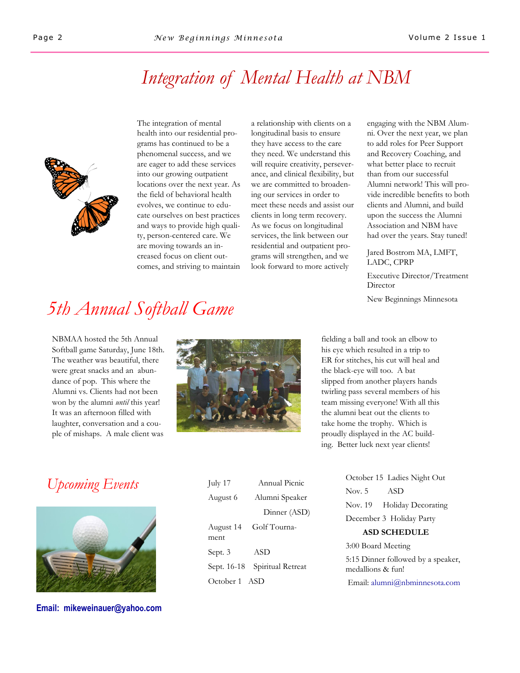## *Integration of Mental Health at NBM*



The integration of mental health into our residential programs has continued to be a phenomenal success, and we are eager to add these services into our growing outpatient locations over the next year. As the field of behavioral health evolves, we continue to educate ourselves on best practices and ways to provide high quality, person-centered care. We are moving towards an increased focus on client outcomes, and striving to maintain

a relationship with clients on a longitudinal basis to ensure they have access to the care they need. We understand this will require creativity, perseverance, and clinical flexibility, but we are committed to broadening our services in order to meet these needs and assist our clients in long term recovery. As we focus on longitudinal services, the link between our residential and outpatient programs will strengthen, and we look forward to more actively

engaging with the NBM Alumni. Over the next year, we plan to add roles for Peer Support and Recovery Coaching, and what better place to recruit than from our successful Alumni network! This will provide incredible benefits to both clients and Alumni, and build upon the success the Alumni Association and NBM have had over the years. Stay tuned!

Jared Bostrom MA, LMFT, LADC, CPRP

Executive Director/Treatment **Director** 

New Beginnings Minnesota

# *5th Annual Softball Game*

NBMAA hosted the 5th Annual Softball game Saturday, June 18th. The weather was beautiful, there were great snacks and an abundance of pop. This where the Alumni vs. Clients had not been won by the alumni *until* this year! It was an afternoon filled with laughter, conversation and a couple of mishaps. A male client was



fielding a ball and took an elbow to his eye which resulted in a trip to ER for stitches, his cut will heal and the black-eye will too. A bat slipped from another players hands twirling pass several members of his team missing everyone! With all this the alumni beat out the clients to take home the trophy. Which is proudly displayed in the AC building. Better luck next year clients!

## *Upcoming Events*



**Email: mikeweinauer@yahoo.com**

| July 17       | Annual Picnic     |
|---------------|-------------------|
| August 6      | Alumni Speaker    |
|               | Dinner (ASD)      |
| August 14     | Golf Tourna-      |
| ment          |                   |
| Sept. 3       | <b>ASD</b>        |
| Sept. 16-18   | Spiritual Retreat |
| October 1 ASD |                   |

October 15 Ladies Night Out Nov. 5 ASD Nov. 19 Holiday Decorating December 3 Holiday Party **ASD SCHEDULE** 3:00 Board Meeting

5:15 Dinner followed by a speaker, medallions & fun! Email: alumni@nbminnesota.com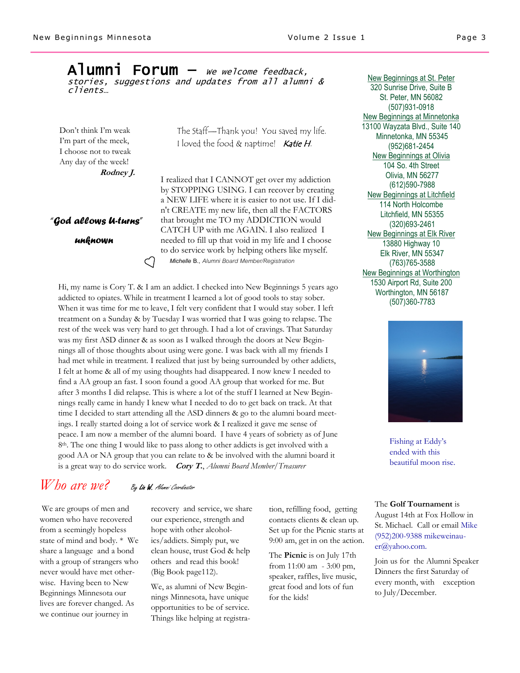#### $\mathsf{A}$ lumni Forum — we welcome feedback, stories, suggestions and updates from all alumni & clients…

Don't think I'm weak I'm part of the meek, I choose not to tweak Any day of the week! **Rodney J.**

*"God allows U-turns"*

C

 *unknown*

The Staff—Thank you! You saved my life. I loved the food & naptime! Katie H.

I realized that I CANNOT get over my addiction by STOPPING USING. I can recover by creating a NEW LIFE where it is easier to not use. If I didn't CREATE my new life, then all the FACTORS that brought me TO my ADDICTION would CATCH UP with me AGAIN. I also realized I needed to fill up that void in my life and I choose to do service work by helping others like myself. *Michelle* **B.,** *Alumni Board Member/Registration*

Hi, my name is Cory T. & I am an addict. I checked into New Beginnings 5 years ago addicted to opiates. While in treatment I learned a lot of good tools to stay sober. When it was time for me to leave, I felt very confident that I would stay sober. I left treatment on a Sunday & by Tuesday I was worried that I was going to relapse. The rest of the week was very hard to get through. I had a lot of cravings. That Saturday was my first ASD dinner & as soon as I walked through the doors at New Beginnings all of those thoughts about using were gone. I was back with all my friends I had met while in treatment. I realized that just by being surrounded by other addicts, I felt at home & all of my using thoughts had disappeared. I now knew I needed to find a AA group an fast. I soon found a good AA group that worked for me. But after 3 months I did relapse. This is where a lot of the stuff I learned at New Beginnings really came in handy I knew what I needed to do to get back on track. At that time I decided to start attending all the ASD dinners & go to the alumni board meetings. I really started doing a lot of service work & I realized it gave me sense of peace. I am now a member of the alumni board. I have 4 years of sobriety as of June 8th. The one thing I would like to pass along to other addicts is get involved with a good AA or NA group that you can relate to & be involved with the alumni board it is a great way to do service work*.* **Cory T.**, *Alumni Board Member/Treasurer* 

### *Who are we?* By Liz W. Alumni Coordinator

We are groups of men and women who have recovered from a seemingly hopeless state of mind and body. \* We share a language and a bond with a group of strangers who never would have met otherwise. Having been to New Beginnings Minnesota our lives are forever changed. As we continue our journey in

recovery and service, we share our experience, strength and hope with other alcoholics/addicts. Simply put, we clean house, trust God & help others and read this book! (Big Book page112).

We, as alumni of New Beginnings Minnesota, have unique opportunities to be of service. Things like helping at registra-

tion, refilling food, getting contacts clients & clean up. Set up for the Picnic starts at 9:00 am, get in on the action.

The **Picnic** is on July 17th from 11:00 am - 3:00 pm, speaker, raffles, live music, great food and lots of fun for the kids!

New Beginnings at St. Peter 320 Sunrise Drive, Suite B St. Peter, MN 56082 (507)931-0918 New Beginnings at Minnetonka 13100 Wayzata Blvd., Suite 140 Minnetonka, MN 55345 (952)681-2454 New Beginnings at Olivia 104 So. 4th Street Olivia, MN 56277 (612)590-7988 New Beginnings at Litchfield 114 North Holcombe Litchfield, MN 55355 (320)693-2461 New Beginnings at Elk River 13880 Highway 10 Elk River, MN 55347 (763)765-3588 New Beginnings at Worthington 1530 Airport Rd, Suite 200 Worthington, MN 56187 (507)360-7783



Fishing at Eddy's ended with this beautiful moon rise.

The **Golf Tournament** is August 14th at Fox Hollow in St. Michael. Call or email Mike (952)200-9388 mikeweinauer@yahoo.com.

Join us for the Alumni Speaker Dinners the first Saturday of every month, with exception to July/December.